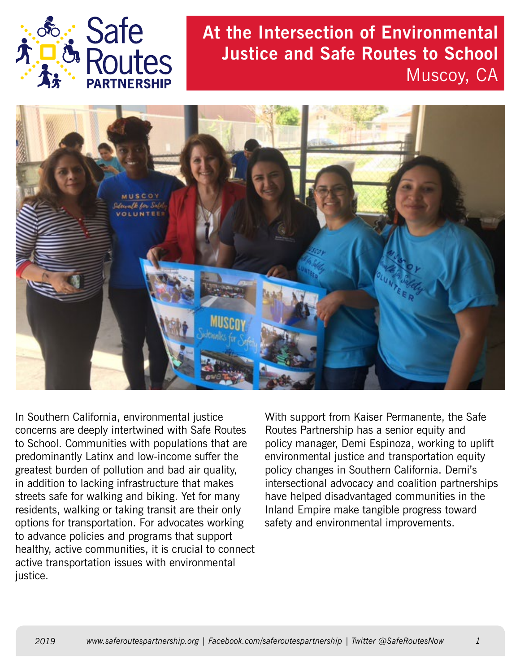

## **At the Intersection of Environmental Justice and Safe Routes to School** Muscoy, CA



In Southern California, environmental justice concerns are deeply intertwined with Safe Routes to School. Communities with populations that are predominantly Latinx and low-income suffer the greatest burden of pollution and bad air quality, in addition to lacking infrastructure that makes streets safe for walking and biking. Yet for many residents, walking or taking transit are their only options for transportation. For advocates working to advance policies and programs that support healthy, active communities, it is crucial to connect active transportation issues with environmental justice.

With support from Kaiser Permanente, the Safe Routes Partnership has a senior equity and policy manager, Demi Espinoza, working to uplift environmental justice and transportation equity policy changes in Southern California. Demi's intersectional advocacy and coalition partnerships have helped disadvantaged communities in the Inland Empire make tangible progress toward safety and environmental improvements.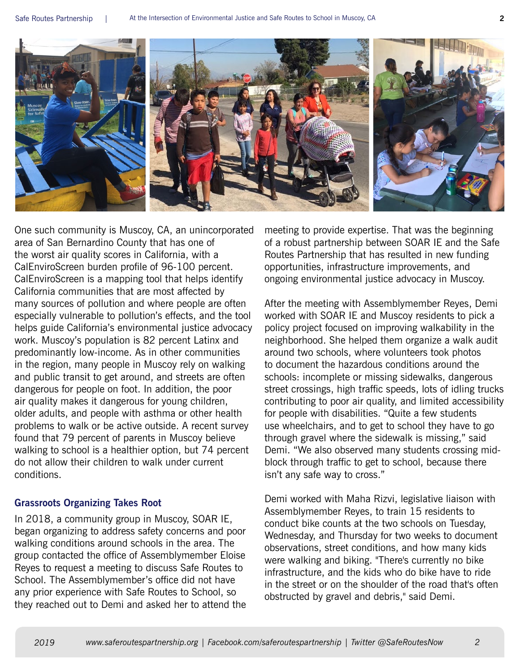

One such community is Muscoy, CA, an unincorporated area of San Bernardino County that has one of the worst air quality scores in California, with a CalEnviroScreen burden profile of 96-100 percent. CalEnviroScreen is a mapping tool that helps identify California communities that are most affected by many sources of pollution and where people are often especially vulnerable to pollution's effects, and the tool helps guide California's environmental justice advocacy work. Muscoy's population is 82 percent Latinx and predominantly low-income. As in other communities in the region, many people in Muscoy rely on walking and public transit to get around, and streets are often dangerous for people on foot. In addition, the poor air quality makes it dangerous for young children, older adults, and people with asthma or other health problems to walk or be active outside. A recent survey found that 79 percent of parents in Muscoy believe walking to school is a healthier option, but 74 percent do not allow their children to walk under current conditions.

## **Grassroots Organizing Takes Root**

In 2018, a community group in Muscoy, SOAR IE, began organizing to address safety concerns and poor walking conditions around schools in the area. The group contacted the office of Assemblymember Eloise Reyes to request a meeting to discuss Safe Routes to School. The Assemblymember's office did not have any prior experience with Safe Routes to School, so they reached out to Demi and asked her to attend the meeting to provide expertise. That was the beginning of a robust partnership between SOAR IE and the Safe Routes Partnership that has resulted in new funding opportunities, infrastructure improvements, and ongoing environmental justice advocacy in Muscoy.

After the meeting with Assemblymember Reyes, Demi worked with SOAR IE and Muscoy residents to pick a policy project focused on improving walkability in the neighborhood. She helped them organize a walk audit around two schools, where volunteers took photos to document the hazardous conditions around the schools: incomplete or missing sidewalks, dangerous street crossings, high traffic speeds, lots of idling trucks contributing to poor air quality, and limited accessibility for people with disabilities. "Quite a few students use wheelchairs, and to get to school they have to go through gravel where the sidewalk is missing," said Demi. "We also observed many students crossing midblock through traffic to get to school, because there isn't any safe way to cross."

Demi worked with Maha Rizvi, legislative liaison with Assemblymember Reyes, to train 15 residents to conduct bike counts at the two schools on Tuesday, Wednesday, and Thursday for two weeks to document observations, street conditions, and how many kids were walking and biking. "There's currently no bike infrastructure, and the kids who do bike have to ride in the street or on the shoulder of the road that's often obstructed by gravel and debris," said Demi.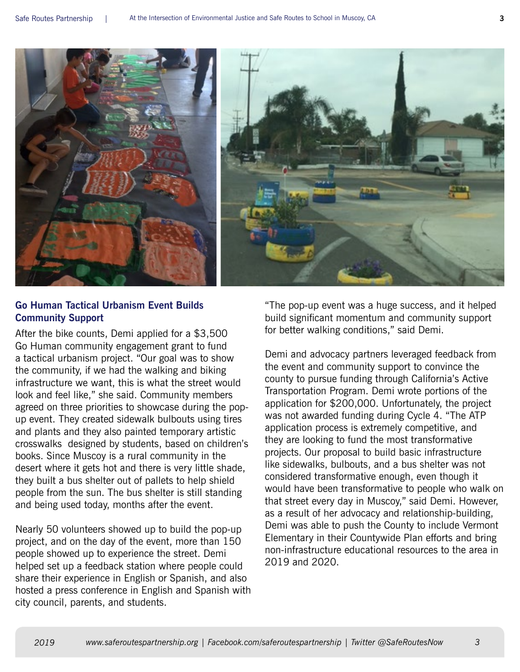

## **Go Human Tactical Urbanism Event Builds Community Support**

After the bike counts, Demi applied for a \$3,500 Go Human community engagement grant to fund a tactical urbanism project. "Our goal was to show the community, if we had the walking and biking infrastructure we want, this is what the street would look and feel like," she said. Community members agreed on three priorities to showcase during the popup event. They created sidewalk bulbouts using tires and plants and they also painted temporary artistic crosswalks designed by students, based on children's books. Since Muscoy is a rural community in the desert where it gets hot and there is very little shade, they built a bus shelter out of pallets to help shield people from the sun. The bus shelter is still standing and being used today, months after the event.

Nearly 50 volunteers showed up to build the pop-up project, and on the day of the event, more than 150 people showed up to experience the street. Demi helped set up a feedback station where people could share their experience in English or Spanish, and also hosted a press conference in English and Spanish with city council, parents, and students.

"The pop-up event was a huge success, and it helped build significant momentum and community support for better walking conditions," said Demi.

Demi and advocacy partners leveraged feedback from the event and community support to convince the county to pursue funding through California's Active Transportation Program. Demi wrote portions of the application for \$200,000. Unfortunately, the project was not awarded funding during Cycle 4. "The ATP application process is extremely competitive, and they are looking to fund the most transformative projects. Our proposal to build basic infrastructure like sidewalks, bulbouts, and a bus shelter was not considered transformative enough, even though it would have been transformative to people who walk on that street every day in Muscoy," said Demi. However, as a result of her advocacy and relationship-building, Demi was able to push the County to include Vermont Elementary in their Countywide Plan efforts and bring non-infrastructure educational resources to the area in 2019 and 2020.